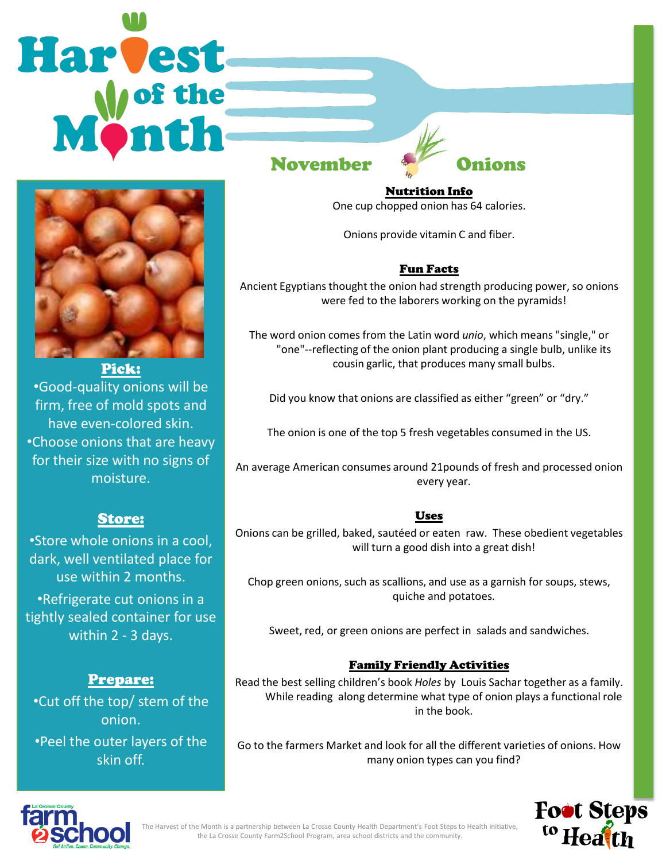# Harvest



#### Pick:

•Good-quality onions will be firm, free of mold spots and have even-colored skin. •Choose onions that are heavy for their size with no signs of moisture.

## Store:

•Store whole onions in a cool, dark, well ventilated place for use within 2 months.

•Refrigerate cut onions in a tightly sealed container for use within 2 - 3 days.

# Prepare:

•Cut off the top/ stem of the onion. •Peel the outer layers of the skin off.

November Onions

Nutrition Info One cup chopped onion has 64 calories.

Onions provide vitamin C and fiber.

# Fun Facts

Ancient Egyptians thought the onion had strength producing power, so onions were fed to the laborers working on the pyramids!

The word onion comes from the Latin word *unio*, which means "single," or "one"--reflecting of the onion plant producing a single bulb, unlike its cousin garlic, that produces many small bulbs.

Did you know that onions are classified as either "green" or "dry."

The onion is one of the top 5 fresh vegetables consumed in the US.

An average American consumes around 21pounds of fresh and processed onion every year.

#### Uses

Onions can be grilled, baked, sautéed or eaten raw. These obedient vegetables will turn a good dish into a great dish!

Chop green onions, such as scallions, and use as a garnish for soups, stews, quiche and potatoes.

Sweet, red, or green onions are perfect in salads and sandwiches.

#### Family Friendly Activities

Read the best selling children's book *Holes* by Louis Sachar together as a family. While reading along determine what type of onion plays a functional role in the book.

Go to the farmers Market and look for all the different varieties of onions. How many onion types can you find?